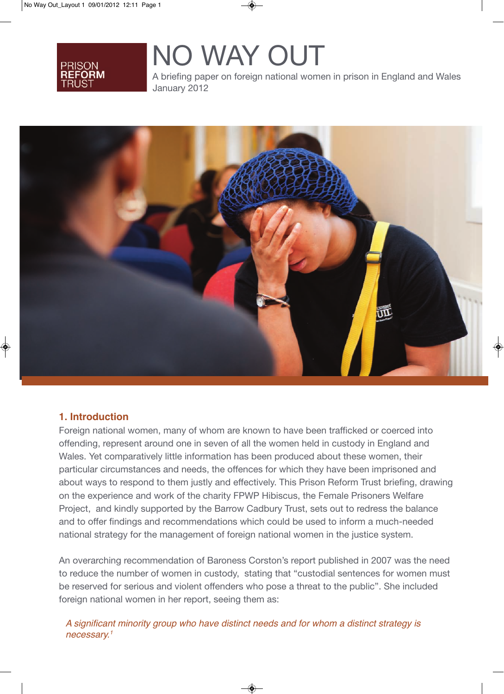# NO WAY OUT

A briefing paper on foreign national women in prison in England and Wales January 2012



# **1. Introduction**

Foreign national women, many of whom are known to have been trafficked or coerced into offending, represent around one in seven of all the women held in custody in England and Wales. Yet comparatively little information has been produced about these women, their particular circumstances and needs, the offences for which they have been imprisoned and about ways to respond to them justly and effectively. This Prison Reform Trust briefing, drawing on the experience and work of the charity FPWP Hibiscus, the Female Prisoners Welfare Project, and kindly supported by the Barrow Cadbury Trust, sets out to redress the balance and to offer findings and recommendations which could be used to inform a much-needed national strategy for the management of foreign national women in the justice system.

An overarching recommendation of Baroness Corston's report published in 2007 was the need to reduce the number of women in custody, stating that "custodial sentences for women must be reserved for serious and violent offenders who pose a threat to the public". She included foreign national women in her report, seeing them as:

*A significant minority group who have distinct needs and for whom a distinct strategy is necessary.1*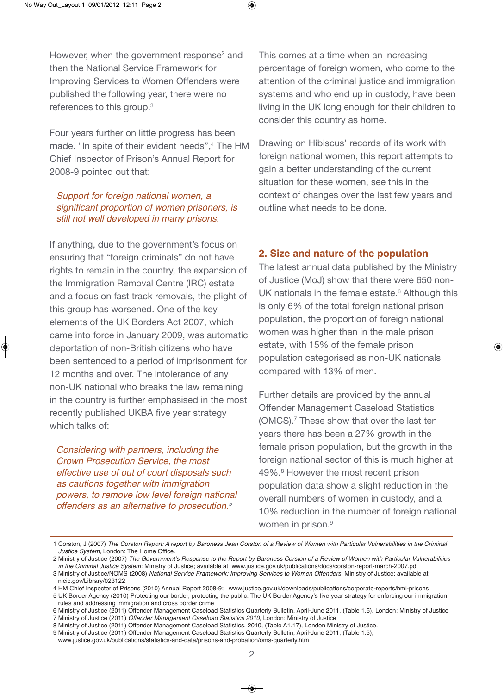However, when the government response<sup>2</sup> and then the National Service Framework for Improving Services to Women Offenders were published the following year, there were no references to this group.<sup>3</sup>

Four years further on little progress has been made. "In spite of their evident needs",<sup>4</sup> The HM Chief Inspector of Prison's Annual Report for 2008-9 pointed out that:

#### *Support for foreign national women, a significant proportion of women prisoners, is still not well developed in many prisons.*

If anything, due to the government's focus on ensuring that "foreign criminals" do not have rights to remain in the country, the expansion of the Immigration Removal Centre (IRC) estate and a focus on fast track removals, the plight of this group has worsened. One of the key elements of the UK Borders Act 2007, which came into force in January 2009, was automatic deportation of non-British citizens who have been sentenced to a period of imprisonment for 12 months and over. The intolerance of any non-UK national who breaks the law remaining in the country is further emphasised in the most recently published UKBA five year strategy which talks of:

*Considering with partners, including the Crown Prosecution Service, the most effective use of out of court disposals such as cautions together with immigration powers, to remove low level foreign national offenders as an alternative to prosecution.5*

This comes at a time when an increasing percentage of foreign women, who come to the attention of the criminal justice and immigration systems and who end up in custody, have been living in the UK long enough for their children to consider this country as home.

Drawing on Hibiscus' records of its work with foreign national women, this report attempts to gain a better understanding of the current situation for these women, see this in the context of changes over the last few years and outline what needs to be done.

#### **2. Size and nature of the population**

The latest annual data published by the Ministry of Justice (MoJ) show that there were 650 non-UK nationals in the female estate.<sup>6</sup> Although this is only 6% of the total foreign national prison population, the proportion of foreign national women was higher than in the male prison estate, with 15% of the female prison population categorised as non-UK nationals compared with 13% of men.

Further details are provided by the annual Offender Management Caseload Statistics (OMCS).7 These show that over the last ten years there has been a 27% growth in the female prison population, but the growth in the foreign national sector of this is much higher at 49%.8 However the most recent prison population data show a slight reduction in the overall numbers of women in custody, and a 10% reduction in the number of foreign national women in prison.<sup>9</sup>

<sup>1</sup>Corston,J(2007)*The Corston Report: A report by Baroness Jean Corston of a Review of Women with Particular Vulnerabilities in the Criminal* Justice System, London: The Home Office.

<sup>2</sup>MinistryofJustice(2007)*The Government's Response to the Report by Baroness Corston of a Review of Women with Particular Vulnerabilities*

in the Criminal Justice System: Ministry of Justice; available at www.justice.gov.uk/publications/docs/corston-report-march-2007.pdf 3 Ministry of Justice/NOMS (2008) National Service Framework: Improving Services to Women Offenders: Ministry of Justice; available at

nicic.gov/Library/023122 4 HM Chief Inspector of Prisons (2010) Annual Report 2008-9; www.justice.gov.uk/downloads/publications/corporate-reports/hmi-prisons

<sup>5</sup> UK Border Agency (2010) Protecting our border, protecting the public: The UK Border Agency's five year strategy for enforcing our immigration rules and addressing immigration and cross border crime

<sup>6</sup> Ministry of Justice (2011) Offender Management Caseload Statistics Quarterly Bulletin, April-June 2011, (Table 1.5), London: Ministry of Justice

<sup>7</sup> Ministry of Justice (2011) Offender Management Caseload Statistics 2010, London: Ministry of Justice

<sup>8</sup> Ministry of Justice (2011) Offender Management Caseload Statistics, 2010, (Table A1.17), London Ministry of Justice.

<sup>9</sup> Ministry of Justice (2011) Offender Management Caseload Statistics Quarterly Bulletin, April-June 2011, (Table 1.5), www.justice.gov.uk/publications/statistics-and-data/prisons-and-probation/oms-quarterly.htm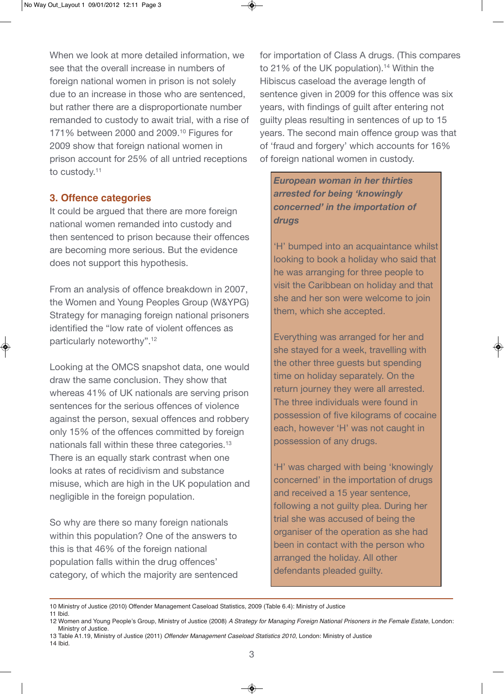When we look at more detailed information, we see that the overall increase in numbers of foreign national women in prison is not solely due to an increase in those who are sentenced, but rather there are a disproportionate number remanded to custody to await trial, with a rise of 171% between 2000 and 2009.10 Figures for 2009 show that foreign national women in prison account for 25% of all untried receptions to custody.<sup>11</sup>

### **3. Offence categories**

It could be argued that there are more foreign national women remanded into custody and then sentenced to prison because their offences are becoming more serious. But the evidence does not support this hypothesis.

From an analysis of offence breakdown in 2007, the Women and Young Peoples Group (W&YPG) Strategy for managing foreign national prisoners identified the "low rate of violent offences as particularly noteworthy".<sup>12</sup>

Looking at the OMCS snapshot data, one would draw the same conclusion. They show that whereas 41% of UK nationals are serving prison sentences for the serious offences of violence against the person, sexual offences and robbery only 15% of the offences committed by foreign nationals fall within these three categories.<sup>13</sup> There is an equally stark contrast when one looks at rates of recidivism and substance misuse, which are high in the UK population and negligible in the foreign population.

So why are there so many foreign nationals within this population? One of the answers to this is that 46% of the foreign national population falls within the drug offences' category, of which the majority are sentenced for importation of Class A drugs. (This compares to 21% of the UK population).<sup>14</sup> Within the Hibiscus caseload the average length of sentence given in 2009 for this offence was six years, with findings of guilt after entering not guilty pleas resulting in sentences of up to 15 years. The second main offence group was that of 'fraud and forgery' which accounts for 16% of foreign national women in custody.

*European woman in her thirties arrested for being 'knowingly concerned' in the importation of drugs* 

'H' bumped into an acquaintance whilst looking to book a holiday who said that he was arranging for three people to visit the Caribbean on holiday and that she and her son were welcome to join them, which she accepted.

Everything was arranged for her and she stayed for a week, travelling with the other three guests but spending time on holiday separately. On the return journey they were all arrested. The three individuals were found in possession of five kilograms of cocaine each, however 'H' was not caught in possession of any drugs.

'H' was charged with being 'knowingly concerned' in the importation of drugs and received a 15 year sentence, following a not guilty plea. During her trial she was accused of being the organiser of the operation as she had been in contact with the person who arranged the holiday. All other defendants pleaded guilty.

<sup>10</sup> Ministry of Justice (2010) Offender Management Caseload Statistics, 2009 (Table 6.4): Ministry of Justice

<sup>11</sup>Ibid.

<sup>12</sup> Women and Young People's Group, Ministry of Justice (2008) A Strategy for Managing Foreign National Prisoners in the Female Estate, London: Ministry of Justice.

<sup>13</sup> Table A1.19, Ministry of Justice (2011) Offender Management Caseload Statistics 2010, London: Ministry of Justice 14 Ibid.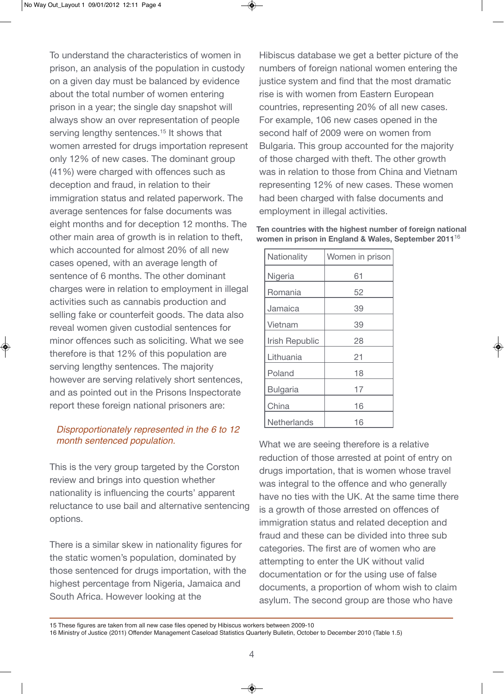To understand the characteristics of women in prison, an analysis of the population in custody on a given day must be balanced by evidence about the total number of women entering prison in a year; the single day snapshot will always show an over representation of people serving lengthy sentences.<sup>15</sup> It shows that women arrested for drugs importation represent only 12% of new cases. The dominant group (41%) were charged with offences such as deception and fraud, in relation to their immigration status and related paperwork. The average sentences for false documents was eight months and for deception 12 months. The other main area of growth is in relation to theft, which accounted for almost 20% of all new cases opened, with an average length of sentence of 6 months. The other dominant charges were in relation to employment in illegal activities such as cannabis production and selling fake or counterfeit goods. The data also reveal women given custodial sentences for minor offences such as soliciting. What we see therefore is that 12% of this population are serving lengthy sentences. The majority however are serving relatively short sentences, and as pointed out in the Prisons Inspectorate report these foreign national prisoners are:

### *Disproportionately represented in the 6 to 12 month sentenced population.*

This is the very group targeted by the Corston review and brings into question whether nationality is influencing the courts' apparent reluctance to use bail and alternative sentencing options.

There is a similar skew in nationality figures for the static women's population, dominated by those sentenced for drugs importation, with the highest percentage from Nigeria, Jamaica and South Africa. However looking at the

Hibiscus database we get a better picture of the numbers of foreign national women entering the justice system and find that the most dramatic rise is with women from Eastern European countries, representing 20% of all new cases. For example, 106 new cases opened in the second half of 2009 were on women from Bulgaria. This group accounted for the majority of those charged with theft. The other growth was in relation to those from China and Vietnam representing 12% of new cases. These women had been charged with false documents and employment in illegal activities.

| Nationality     | Women in prison |
|-----------------|-----------------|
| Nigeria         | 61              |
| Romania         | 52              |
| Jamaica         | 39              |
| Vietnam         | 39              |
| Irish Republic  | 28              |
| Lithuania       | 21              |
| Poland          | 18              |
| <b>Bulgaria</b> | 17              |
| China           | 16              |
| Netherlands     | 16              |

**Ten countries with the highest number of foreign national women in prison in England & Wales, September 2011**<sup>16</sup>

What we are seeing therefore is a relative reduction of those arrested at point of entry on drugs importation, that is women whose travel was integral to the offence and who generally have no ties with the UK. At the same time there is a growth of those arrested on offences of immigration status and related deception and fraud and these can be divided into three sub categories. The first are of women who are attempting to enter the UK without valid documentation or for the using use of false documents, a proportion of whom wish to claim asylum. The second group are those who have

<sup>15</sup> These figures are taken from all new case files opened by Hibiscus workers between 2009-10

<sup>16</sup> Ministry of Justice (2011) Offender Management Caseload Statistics Quarterly Bulletin, October to December 2010 (Table 1.5)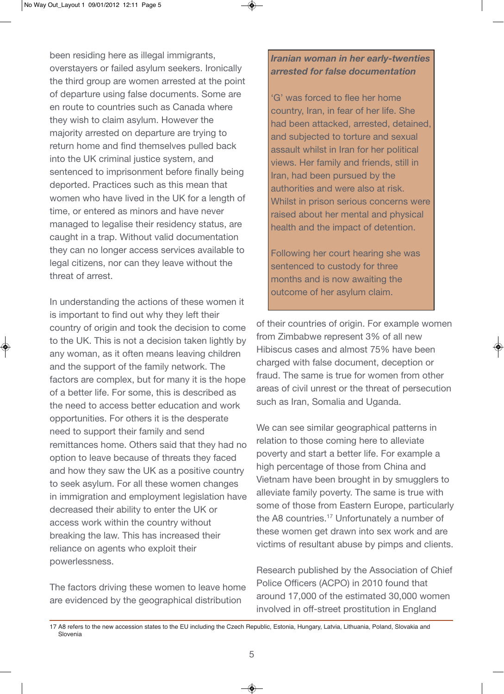been residing here as illegal immigrants, overstayers or failed asylum seekers. Ironically the third group are women arrested at the point of departure using false documents. Some are en route to countries such as Canada where they wish to claim asylum. However the majority arrested on departure are trying to return home and find themselves pulled back into the UK criminal justice system, and sentenced to imprisonment before finally being deported. Practices such as this mean that women who have lived in the UK for a length of time, or entered as minors and have never managed to legalise their residency status, are caught in a trap. Without valid documentation they can no longer access services available to legal citizens, nor can they leave without the threat of arrest.

In understanding the actions of these women it is important to find out why they left their country of origin and took the decision to come to the UK. This is not a decision taken lightly by any woman, as it often means leaving children and the support of the family network. The factors are complex, but for many it is the hope of a better life. For some, this is described as the need to access better education and work opportunities. For others it is the desperate need to support their family and send remittances home. Others said that they had no option to leave because of threats they faced and how they saw the UK as a positive country to seek asylum. For all these women changes in immigration and employment legislation have decreased their ability to enter the UK or access work within the country without breaking the law. This has increased their reliance on agents who exploit their powerlessness.

The factors driving these women to leave home are evidenced by the geographical distribution

# *Iranian woman in her early-twenties arrested for false documentation*

'G' was forced to flee her home country, Iran, in fear of her life. She had been attacked, arrested, detained, and subjected to torture and sexual assault whilst in Iran for her political views. Her family and friends, still in Iran, had been pursued by the authorities and were also at risk. Whilst in prison serious concerns were raised about her mental and physical health and the impact of detention.

Following her court hearing she was sentenced to custody for three months and is now awaiting the outcome of her asylum claim.

of their countries of origin. For example women from Zimbabwe represent 3% of all new Hibiscus cases and almost 75% have been charged with false document, deception or fraud. The same is true for women from other areas of civil unrest or the threat of persecution such as Iran, Somalia and Uganda.

We can see similar geographical patterns in relation to those coming here to alleviate poverty and start a better life. For example a high percentage of those from China and Vietnam have been brought in by smugglers to alleviate family poverty. The same is true with some of those from Eastern Europe, particularly the A8 countries.17 Unfortunately a number of these women get drawn into sex work and are victims of resultant abuse by pimps and clients.

Research published by the Association of Chief Police Officers (ACPO) in 2010 found that around 17,000 of the estimated 30,000 women involved in off-street prostitution in England

<sup>17</sup> A8 refers to the new accession states to the EU including the Czech Republic, Estonia, Hungary, Latvia, Lithuania, Poland, Slovakia and Slovenia-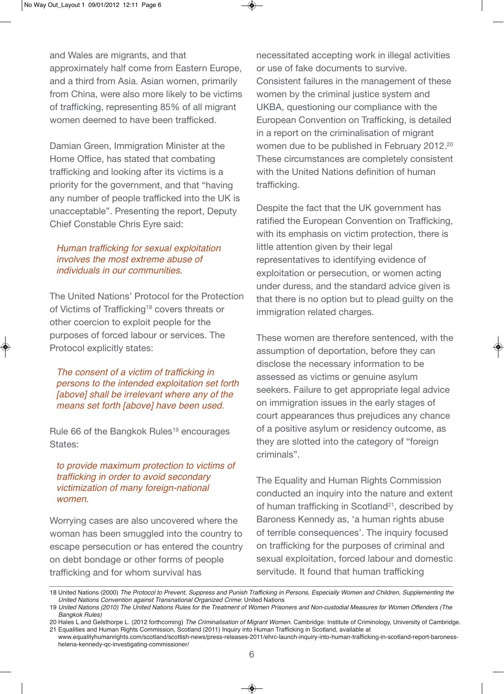and Wales are migrants, and that approximately half come from Eastern Europe, and a third from Asia. Asian women, primarily from China, were also more likely to be victims of trafficking, representing 85% of all migrant women deemed to have been trafficked.

Damian Green, Immigration Minister at the Home Office, has stated that combating trafficking and looking after its victims is a priority for the government, and that "having any number of people trafficked into the UK is unacceptable". Presenting the report, Deputy Chief Constable Chris Eyre said:

#### *Human trafficking for sexual exploitation involves the most extreme abuse of individuals in our communities.*

The United Nations' Protocol for the Protection of Victims of Trafficking<sup>18</sup> covers threats or other coercion to exploit people for the purposes of forced labour or services. The Protocol explicitly states:

*The consent of a victim of trafficking in persons to the intended exploitation set forth [above] shall be irrelevant where any of the means set forth [above] have been used.* 

Rule 66 of the Bangkok Rules<sup>19</sup> encourages States:

#### *to provide maximum protection to victims of trafficking in order to avoid secondary victimization of many foreign-national women.*

Worrying cases are also uncovered where the woman has been smuggled into the country to escape persecution or has entered the country on debt bondage or other forms of people trafficking and for whom survival has

necessitated accepting work in illegal activities or use of fake documents to survive. Consistent failures in the management of these women by the criminal justice system and UKBA, questioning our compliance with the European Convention on Trafficking, is detailed in a report on the criminalisation of migrant women due to be published in February 2012.20 These circumstances are completely consistent with the United Nations definition of human trafficking.

Despite the fact that the UK government has ratified the European Convention on Trafficking, with its emphasis on victim protection, there is little attention given by their legal representatives to identifying evidence of exploitation or persecution, or women acting under duress, and the standard advice given is that there is no option but to plead guilty on the immigration related charges.

These women are therefore sentenced, with the assumption of deportation, before they can disclose the necessary information to be assessed as victims or genuine asylum seekers. Failure to get appropriate legal advice on immigration issues in the early stages of court appearances thus prejudices any chance of a positive asylum or residency outcome, as they are slotted into the category of "foreign criminals".

The Equality and Human Rights Commission conducted an inquiry into the nature and extent of human trafficking in Scotland<sup>21</sup>, described by Baroness Kennedy as, 'a human rights abuse of terrible consequences'. The inquiry focused on trafficking for the purposes of criminal and sexual exploitation, forced labour and domestic servitude. It found that human trafficking

<sup>18</sup>UnitedNations(2000)*The Protocol to Prevent, Suppress and Punish Trafficking in Persons, Especially Women and Children, Supplementing the* United Nations Convention against Transnational Organized Crime: United Nations

<sup>19</sup>*United Nations (2010) The United Nations Rules for the Treatment of Women Prisoners and Non-custodial Measures for Women Offenders (The Bangkok Rules)*

<sup>20</sup> Hales L and Gelsthorpe L. (2012 forthcoming) The Criminalisation of Migrant Women. Cambridge: Institute of Criminology, University of Cambridge. 21 Equalities and Human Rights Commission, Scotland (2011) Inquiry into Human Trafficking in Scotland, available at

www.equalityhumanrights.com/scotland/scottish-news/press-releases-2011/ehrc-launch-inquiry-into-human-trafficking-in-scotland-report-baronesshelena-kennedy-qc-investigating-commissioner/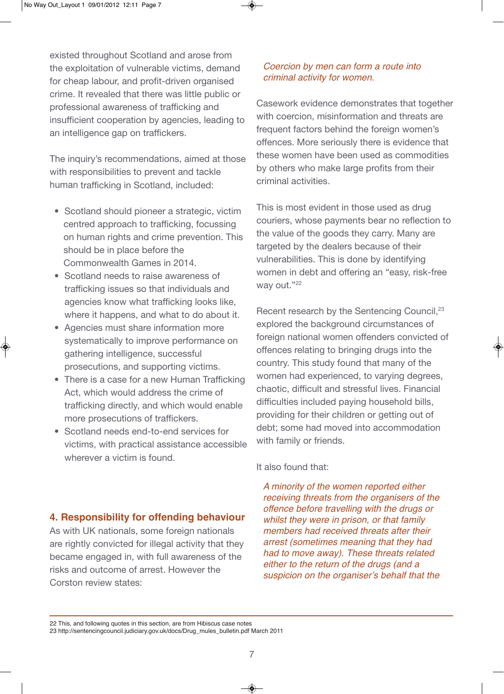existed throughout Scotland and arose from the exploitation of vulnerable victims, demand for cheap labour, and profit-driven organised crime. It revealed that there was little public or professional awareness of trafficking and insufficient cooperation by agencies, leading to an intelligence gap on traffickers.

The inquiry's recommendations, aimed at those with responsibilities to prevent and tackle human trafficking in Scotland, included:

- Scotland should pioneer a strategic, victim centred approach to trafficking, focussing on human rights and crime prevention. This should be in place before the Commonwealth Games in 2014.
- Scotland needs to raise awareness of trafficking issues so that individuals and agencies know what trafficking looks like, where it happens, and what to do about it.
- Agencies must share information more systematically to improve performance on gathering intelligence, successful prosecutions, and supporting victims.
- There is a case for a new Human Trafficking Act, which would address the crime of trafficking directly, and which would enable more prosecutions of traffickers.
- Scotland needs end-to-end services for victims, with practical assistance accessible wherever a victim is found.

#### *Coercion by men can form a route into criminal activity for women.*

Casework evidence demonstrates that together with coercion, misinformation and threats are frequent factors behind the foreign women's offences. More seriously there is evidence that these women have been used as commodities by others who make large profits from their criminal activities.

This is most evident in those used as drug couriers, whose payments bear no reflection to the value of the goods they carry. Many are targeted by the dealers because of their vulnerabilities. This is done by identifying women in debt and offering an "easy, risk-free way out."22

Recent research by the Sentencing Council,<sup>23</sup> explored the background circumstances of foreign national women offenders convicted of offences relating to bringing drugs into the country. This study found that many of the women had experienced, to varying degrees, chaotic, difficult and stressful lives. Financial difficulties included paying household bills, providing for their children or getting out of debt; some had moved into accommodation with family or friends.

#### It also found that:

*A minority of the women reported either receiving threats from the organisers of the offence before travelling with the drugs or whilst they were in prison, or that family members had received threats after their arrest (sometimes meaning that they had had to move away). These threats related either to the return of the drugs (and a suspicion on the organiser's behalf that the*

### **4. Responsibility for offending behaviour**

As with UK nationals, some foreign nationals are rightly convicted for illegal activity that they became engaged in, with full awareness of the risks and outcome of arrest. However the Corston review states:

<sup>22</sup> This, and following quotes in this section, are from Hibiscus case notes

<sup>23</sup> http://sentencingcouncil.judiciary.gov.uk/docs/Drug\_mules\_bulletin.pdf March 2011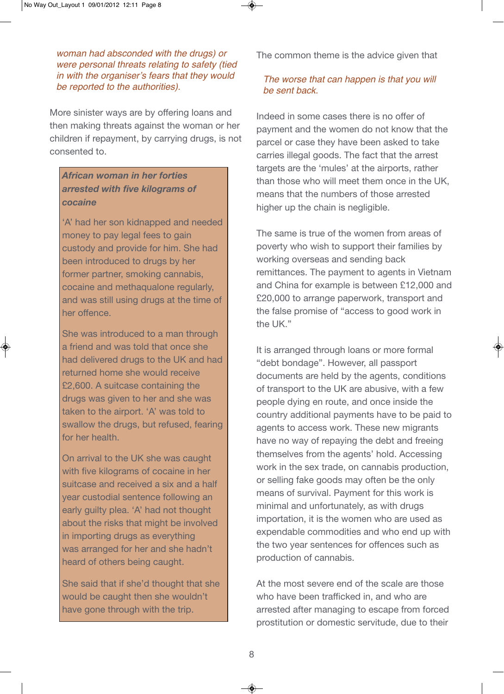*woman had absconded with the drugs) or were personal threats relating to safety (tied in with the organiser's fears that they would be reported to the authorities).*

More sinister ways are by offering loans and then making threats against the woman or her children if repayment, by carrying drugs, is not consented to.

# *African woman in her forties arrested with five kilograms of cocaine*

'A' had her son kidnapped and needed money to pay legal fees to gain custody and provide for him. She had been introduced to drugs by her former partner, smoking cannabis, cocaine and methaqualone regularly, and was still using drugs at the time of her offence.

She was introduced to a man through a friend and was told that once she had delivered drugs to the UK and had returned home she would receive £2,600. A suitcase containing the drugs was given to her and she was taken to the airport. 'A' was told to swallow the drugs, but refused, fearing for her health.

On arrival to the UK she was caught with five kilograms of cocaine in her suitcase and received a six and a half year custodial sentence following an early guilty plea. 'A' had not thought about the risks that might be involved in importing drugs as everything was arranged for her and she hadn't heard of others being caught.

She said that if she'd thought that she would be caught then she wouldn't have gone through with the trip.

The common theme is the advice given that

### *The worse that can happen is that you will be sent back.*

Indeed in some cases there is no offer of payment and the women do not know that the parcel or case they have been asked to take carries illegal goods. The fact that the arrest targets are the 'mules' at the airports, rather than those who will meet them once in the UK, means that the numbers of those arrested higher up the chain is negligible.

The same is true of the women from areas of poverty who wish to support their families by working overseas and sending back remittances. The payment to agents in Vietnam and China for example is between £12,000 and £20,000 to arrange paperwork, transport and the false promise of "access to good work in the UK."

It is arranged through loans or more formal "debt bondage". However, all passport documents are held by the agents, conditions of transport to the UK are abusive, with a few people dying en route, and once inside the country additional payments have to be paid to agents to access work. These new migrants have no way of repaying the debt and freeing themselves from the agents' hold. Accessing work in the sex trade, on cannabis production, or selling fake goods may often be the only means of survival. Payment for this work is minimal and unfortunately, as with drugs importation, it is the women who are used as expendable commodities and who end up with the two year sentences for offences such as production of cannabis.

At the most severe end of the scale are those who have been trafficked in, and who are arrested after managing to escape from forced prostitution or domestic servitude, due to their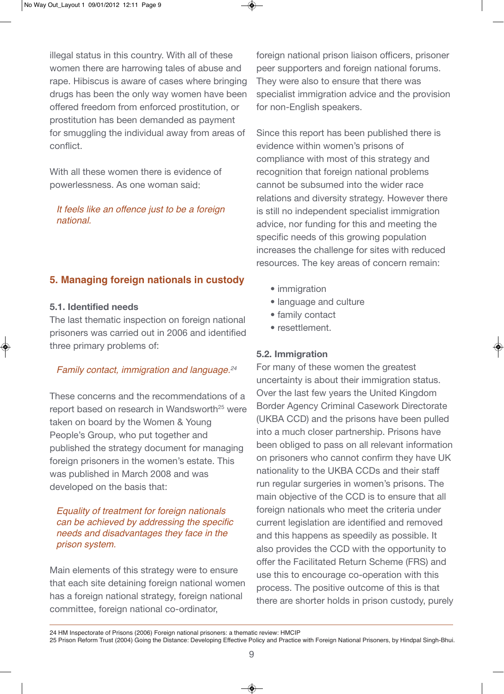illegal status in this country. With all of these women there are harrowing tales of abuse and rape. Hibiscus is aware of cases where bringing drugs has been the only way women have been offered freedom from enforced prostitution, or prostitution has been demanded as payment for smuggling the individual away from areas of conflict.

With all these women there is evidence of powerlessness. As one woman said:

*It feels like an offence just to be a foreign national.* 

# **5. Managing foreign nationals in custody**

#### **5.1. Identified needs**

The last thematic inspection on foreign national prisoners was carried out in 2006 and identified three primary problems of:

#### *Family contact, immigration and language.24*

These concerns and the recommendations of a report based on research in Wandsworth<sup>25</sup> were taken on board by the Women & Young People's Group, who put together and published the strategy document for managing foreign prisoners in the women's estate. This was published in March 2008 and was developed on the basis that:

#### *Equality of treatment for foreign nationals can be achieved by addressing the specific needs and disadvantages they face in the prison system.*

Main elements of this strategy were to ensure that each site detaining foreign national women has a foreign national strategy, foreign national committee, foreign national co-ordinator,

foreign national prison liaison officers, prisoner peer supporters and foreign national forums. They were also to ensure that there was specialist immigration advice and the provision for non-English speakers.

Since this report has been published there is evidence within women's prisons of compliance with most of this strategy and recognition that foreign national problems cannot be subsumed into the wider race relations and diversity strategy. However there is still no independent specialist immigration advice, nor funding for this and meeting the specific needs of this growing population increases the challenge for sites with reduced resources. The key areas of concern remain:

- immigration
- language and culture
- family contact
- resettlement.

#### **5.2. Immigration**

For many of these women the greatest uncertainty is about their immigration status. Over the last few years the United Kingdom Border Agency Criminal Casework Directorate (UKBA CCD) and the prisons have been pulled into a much closer partnership. Prisons have been obliged to pass on all relevant information on prisoners who cannot confirm they have UK nationality to the UKBA CCDs and their staff run regular surgeries in women's prisons. The main objective of the CCD is to ensure that all foreign nationals who meet the criteria under current legislation are identified and removed and this happens as speedily as possible. It also provides the CCD with the opportunity to offer the Facilitated Return Scheme (FRS) and use this to encourage co-operation with this process. The positive outcome of this is that there are shorter holds in prison custody, purely

<sup>24</sup> HM Inspectorate of Prisons (2006) Foreign national prisoners: a thematic review: HMCIP

<sup>25</sup> Prison Reform Trust (2004) Going the Distance: Developing Effective Policy and Practice with Foreign National Prisoners, by Hindpal Singh-Bhui.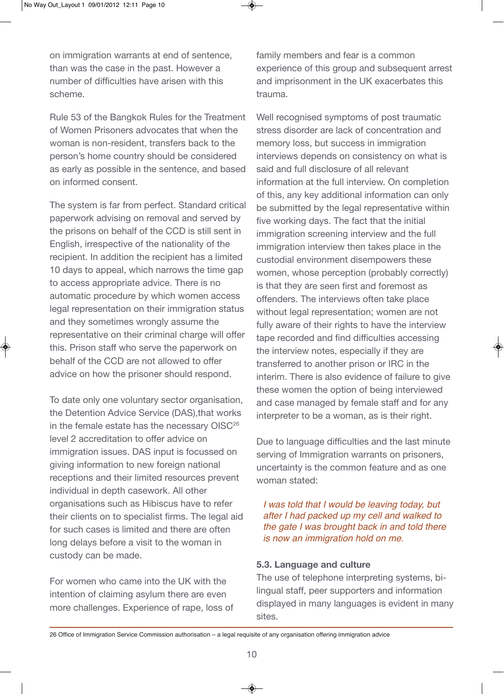on immigration warrants at end of sentence, than was the case in the past. However a number of difficulties have arisen with this scheme.

Rule 53 of the Bangkok Rules for the Treatment of Women Prisoners advocates that when the woman is non-resident, transfers back to the person's home country should be considered as early as possible in the sentence, and based on informed consent.

The system is far from perfect. Standard critical paperwork advising on removal and served by the prisons on behalf of the CCD is still sent in English, irrespective of the nationality of the recipient. In addition the recipient has a limited 10 days to appeal, which narrows the time gap to access appropriate advice. There is no automatic procedure by which women access legal representation on their immigration status and they sometimes wrongly assume the representative on their criminal charge will offer this. Prison staff who serve the paperwork on behalf of the CCD are not allowed to offer advice on how the prisoner should respond.

To date only one voluntary sector organisation, the Detention Advice Service (DAS),that works in the female estate has the necessary OISC<sup>26</sup> level 2 accreditation to offer advice on immigration issues. DAS input is focussed on giving information to new foreign national receptions and their limited resources prevent individual in depth casework. All other organisations such as Hibiscus have to refer their clients on to specialist firms. The legal aid for such cases is limited and there are often long delays before a visit to the woman in custody can be made.

For women who came into the UK with the intention of claiming asylum there are even more challenges. Experience of rape, loss of family members and fear is a common experience of this group and subsequent arrest and imprisonment in the UK exacerbates this trauma.

Well recognised symptoms of post traumatic stress disorder are lack of concentration and memory loss, but success in immigration interviews depends on consistency on what is said and full disclosure of all relevant information at the full interview. On completion of this, any key additional information can only be submitted by the legal representative within five working days. The fact that the initial immigration screening interview and the full immigration interview then takes place in the custodial environment disempowers these women, whose perception (probably correctly) is that they are seen first and foremost as offenders. The interviews often take place without legal representation; women are not fully aware of their rights to have the interview tape recorded and find difficulties accessing the interview notes, especially if they are transferred to another prison or IRC in the interim. There is also evidence of failure to give these women the option of being interviewed and case managed by female staff and for any interpreter to be a woman, as is their right.

Due to language difficulties and the last minute serving of Immigration warrants on prisoners, uncertainty is the common feature and as one woman stated:

*I was told that I would be leaving today, but after I had packed up my cell and walked to the gate I was brought back in and told there is now an immigration hold on me.* 

#### **5.3. Language and culture**

The use of telephone interpreting systems, bilingual staff, peer supporters and information displayed in many languages is evident in many sites.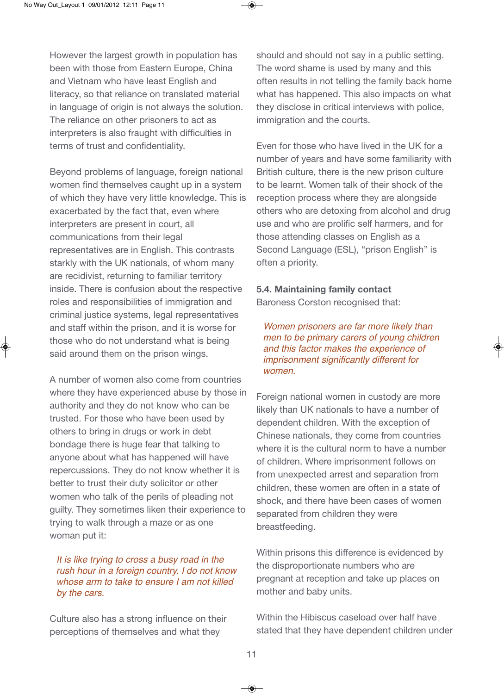However the largest growth in population has been with those from Eastern Europe, China and Vietnam who have least English and literacy, so that reliance on translated material in language of origin is not always the solution. The reliance on other prisoners to act as interpreters is also fraught with difficulties in terms of trust and confidentiality.

Beyond problems of language, foreign national women find themselves caught up in a system of which they have very little knowledge. This is exacerbated by the fact that, even where interpreters are present in court, all communications from their legal representatives are in English. This contrasts starkly with the UK nationals, of whom many are recidivist, returning to familiar territory inside. There is confusion about the respective roles and responsibilities of immigration and criminal justice systems, legal representatives and staff within the prison, and it is worse for those who do not understand what is being said around them on the prison wings.

A number of women also come from countries where they have experienced abuse by those in authority and they do not know who can be trusted. For those who have been used by others to bring in drugs or work in debt bondage there is huge fear that talking to anyone about what has happened will have repercussions. They do not know whether it is better to trust their duty solicitor or other women who talk of the perils of pleading not guilty. They sometimes liken their experience to trying to walk through a maze or as one woman put it:

#### *It is like trying to cross a busy road in the rush hour in a foreign country. I do not know whose arm to take to ensure I am not killed by the cars.*

Culture also has a strong influence on their perceptions of themselves and what they

should and should not say in a public setting. The word shame is used by many and this often results in not telling the family back home what has happened. This also impacts on what they disclose in critical interviews with police, immigration and the courts.

Even for those who have lived in the UK for a number of years and have some familiarity with British culture, there is the new prison culture to be learnt. Women talk of their shock of the reception process where they are alongside others who are detoxing from alcohol and drug use and who are prolific self harmers, and for those attending classes on English as a Second Language (ESL), "prison English" is often a priority.

# **5.4. Maintaining family contact**

Baroness Corston recognised that:

*Women prisoners are far more likely than men to be primary carers of young children and this factor makes the experience of imprisonment significantly different for women.* 

Foreign national women in custody are more likely than UK nationals to have a number of dependent children. With the exception of Chinese nationals, they come from countries where it is the cultural norm to have a number of children. Where imprisonment follows on from unexpected arrest and separation from children, these women are often in a state of shock, and there have been cases of women separated from children they were breastfeeding.

Within prisons this difference is evidenced by the disproportionate numbers who are pregnant at reception and take up places on mother and baby units.

Within the Hibiscus caseload over half have stated that they have dependent children under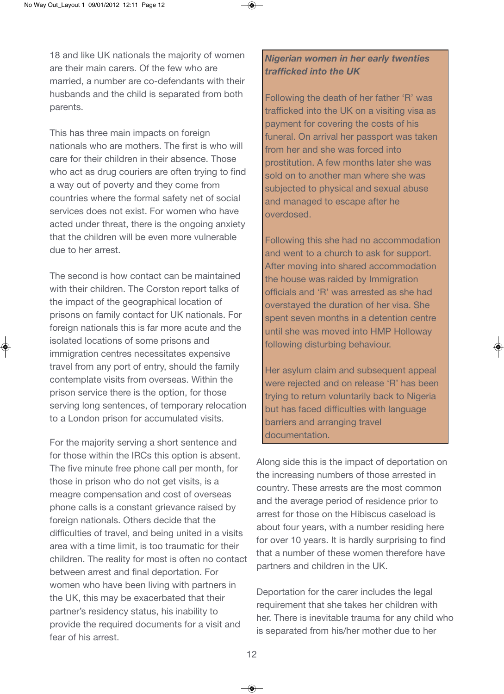18 and like UK nationals the majority of women are their main carers. Of the few who are married, a number are co-defendants with their husbands and the child is separated from both parents.

This has three main impacts on foreign nationals who are mothers. The first is who will care for their children in their absence. Those who act as drug couriers are often trying to find a way out of poverty and they come from countries where the formal safety net of social services does not exist. For women who have acted under threat, there is the ongoing anxiety that the children will be even more vulnerable due to her arrest.

The second is how contact can be maintained with their children. The Corston report talks of the impact of the geographical location of prisons on family contact for UK nationals. For foreign nationals this is far more acute and the isolated locations of some prisons and immigration centres necessitates expensive travel from any port of entry, should the family contemplate visits from overseas. Within the prison service there is the option, for those serving long sentences, of temporary relocation to a London prison for accumulated visits.

For the majority serving a short sentence and for those within the IRCs this option is absent. The five minute free phone call per month, for those in prison who do not get visits, is a meagre compensation and cost of overseas phone calls is a constant grievance raised by foreign nationals. Others decide that the difficulties of travel, and being united in a visits area with a time limit, is too traumatic for their children. The reality for most is often no contact between arrest and final deportation. For women who have been living with partners in the UK, this may be exacerbated that their partner's residency status, his inability to provide the required documents for a visit and fear of his arrest.

# *Nigerian women in her early twenties trafficked into the UK*

Following the death of her father 'R' was trafficked into the UK on a visiting visa as payment for covering the costs of his funeral. On arrival her passport was taken from her and she was forced into prostitution. A few months later she was sold on to another man where she was subjected to physical and sexual abuse and managed to escape after he overdosed.

Following this she had no accommodation and went to a church to ask for support. After moving into shared accommodation the house was raided by Immigration officials and 'R' was arrested as she had overstayed the duration of her visa. She spent seven months in a detention centre until she was moved into HMP Holloway following disturbing behaviour.

Her asylum claim and subsequent appeal were rejected and on release 'R' has been trying to return voluntarily back to Nigeria but has faced difficulties with language barriers and arranging travel documentation.

Along side this is the impact of deportation on the increasing numbers of those arrested in country. These arrests are the most common and the average period of residence prior to arrest for those on the Hibiscus caseload is about four years, with a number residing here for over 10 years. It is hardly surprising to find that a number of these women therefore have partners and children in the UK.

Deportation for the carer includes the legal requirement that she takes her children with her. There is inevitable trauma for any child who is separated from his/her mother due to her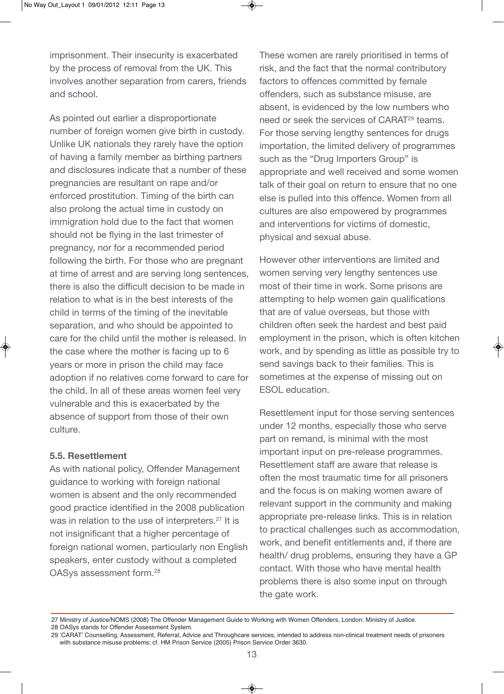imprisonment. Their insecurity is exacerbated by the process of removal from the UK. This involves another separation from carers, friends and school.

As pointed out earlier a disproportionate number of foreign women give birth in custody. Unlike UK nationals they rarely have the option of having a family member as birthing partners and disclosures indicate that a number of these pregnancies are resultant on rape and/or enforced prostitution. Timing of the birth can also prolong the actual time in custody on immigration hold due to the fact that women should not be flying in the last trimester of pregnancy, nor for a recommended period following the birth. For those who are pregnant at time of arrest and are serving long sentences, there is also the difficult decision to be made in relation to what is in the best interests of the child in terms of the timing of the inevitable separation, and who should be appointed to care for the child until the mother is released. In the case where the mother is facing up to 6 years or more in prison the child may face adoption if no relatives come forward to care for the child. In all of these areas women feel very vulnerable and this is exacerbated by the absence of support from those of their own culture.

#### **5.5. Resettlement**

As with national policy, Offender Management guidance to working with foreign national women is absent and the only recommended good practice identified in the 2008 publication was in relation to the use of interpreters.<sup>27</sup> It is not insignificant that a higher percentage of foreign national women, particularly non English speakers, enter custody without a completed OASys assessment form.28

These women are rarely prioritised in terms of risk, and the fact that the normal contributory factors to offences committed by female offenders, such as substance misuse, are absent, is evidenced by the low numbers who need or seek the services of CARAT<sup>29</sup> teams. For those serving lengthy sentences for drugs importation, the limited delivery of programmes such as the "Drug Importers Group" is appropriate and well received and some women talk of their goal on return to ensure that no one else is pulled into this offence. Women from all cultures are also empowered by programmes and interventions for victims of domestic, physical and sexual abuse.

However other interventions are limited and women serving very lengthy sentences use most of their time in work. Some prisons are attempting to help women gain qualifications that are of value overseas, but those with children often seek the hardest and best paid employment in the prison, which is often kitchen work, and by spending as little as possible try to send savings back to their families. This is sometimes at the expense of missing out on ESOL education.

Resettlement input for those serving sentences under 12 months, especially those who serve part on remand, is minimal with the most important input on pre-release programmes. Resettlement staff are aware that release is often the most traumatic time for all prisoners and the focus is on making women aware of relevant support in the community and making appropriate pre-release links. This is in relation to practical challenges such as accommodation, work, and benefit entitlements and, if there are health/ drug problems, ensuring they have a GP contact. With those who have mental health problems there is also some input on through the gate work.

<sup>27</sup> Ministry of Justice/NOMS (2008) The Offender Management Guide to Working with Women Offenders, London: Ministry of Justice. 28 OASys stands for Offender Assessment System.

<sup>29 &#</sup>x27;CARAT' Counselling, Assessment, Referral, Advice and Throughcare services, intended to address non-clinical treatment needs of prisoners with substance misuse problems; cf. HM Prison Service (2005) Prison Service Order 3630.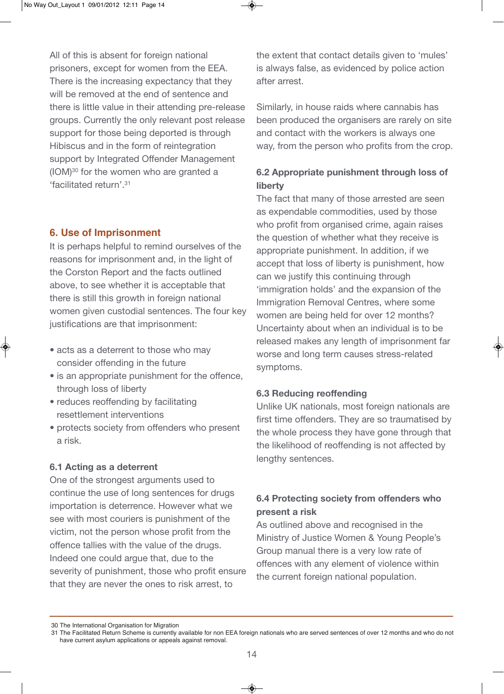All of this is absent for foreign national prisoners, except for women from the EEA. There is the increasing expectancy that they will be removed at the end of sentence and there is little value in their attending pre-release groups. Currently the only relevant post release support for those being deported is through Hibiscus and in the form of reintegration support by Integrated Offender Management (IOM)30 for the women who are granted a 'facilitated return'.31

# **6. Use of Imprisonment**

It is perhaps helpful to remind ourselves of the reasons for imprisonment and, in the light of the Corston Report and the facts outlined above, to see whether it is acceptable that there is still this growth in foreign national women given custodial sentences. The four key justifications are that imprisonment:

- acts as a deterrent to those who may consider offending in the future
- is an appropriate punishment for the offence, through loss of liberty
- reduces reoffending by facilitating resettlement interventions
- protects society from offenders who present a risk.

### **6.1 Acting as a deterrent**

One of the strongest arguments used to continue the use of long sentences for drugs importation is deterrence. However what we see with most couriers is punishment of the victim, not the person whose profit from the offence tallies with the value of the drugs. Indeed one could argue that, due to the severity of punishment, those who profit ensure that they are never the ones to risk arrest, to

the extent that contact details given to 'mules' is always false, as evidenced by police action after arrest.

Similarly, in house raids where cannabis has been produced the organisers are rarely on site and contact with the workers is always one way, from the person who profits from the crop.

# **6.2 Appropriate punishment through loss of liberty**

The fact that many of those arrested are seen as expendable commodities, used by those who profit from organised crime, again raises the question of whether what they receive is appropriate punishment. In addition, if we accept that loss of liberty is punishment, how can we justify this continuing through 'immigration holds' and the expansion of the Immigration Removal Centres, where some women are being held for over 12 months? Uncertainty about when an individual is to be released makes any length of imprisonment far worse and long term causes stress-related symptoms.

# **6.3 Reducing reoffending**

Unlike UK nationals, most foreign nationals are first time offenders. They are so traumatised by the whole process they have gone through that the likelihood of reoffending is not affected by lengthy sentences.

# **6.4 Protecting society from offenders who present a risk**

As outlined above and recognised in the Ministry of Justice Women & Young People's Group manual there is a very low rate of offences with any element of violence within the current foreign national population.

<sup>30</sup> The International Organisation for Migration

<sup>31</sup> The Facilitated Return Scheme is currently available for non EEA foreign nationals who are served sentences of over 12 months and who do not have current asylum applications or appeals against removal.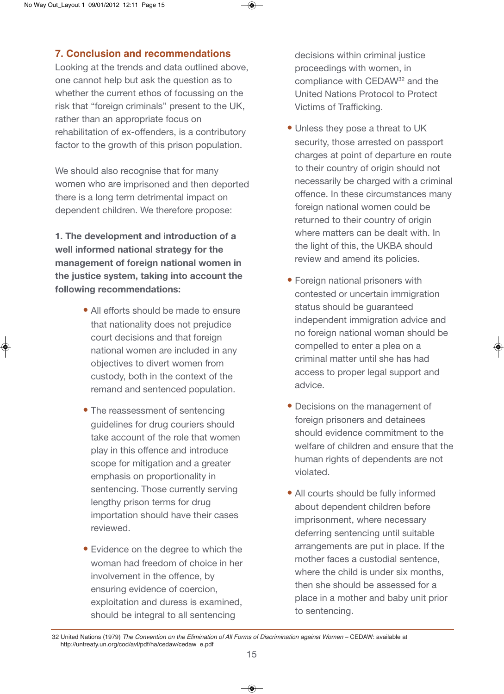# **7. Conclusion and recommendations**

Looking at the trends and data outlined above, one cannot help but ask the question as to whether the current ethos of focussing on the risk that "foreign criminals" present to the UK. rather than an appropriate focus on rehabilitation of ex-offenders, is a contributory factor to the growth of this prison population.

We should also recognise that for many women who are imprisoned and then deported there is a long term detrimental impact on dependent children. We therefore propose:

**1. The development and introduction of a well informed national strategy for the management of foreign national women in the justice system, taking into account the following recommendations:**

- All efforts should be made to ensure that nationality does not prejudice court decisions and that foreign national women are included in any objectives to divert women from custody, both in the context of the remand and sentenced population.
- The reassessment of sentencing guidelines for drug couriers should take account of the role that women play in this offence and introduce scope for mitigation and a greater emphasis on proportionality in sentencing. Those currently serving lengthy prison terms for drug importation should have their cases reviewed.
- Evidence on the degree to which the woman had freedom of choice in her involvement in the offence, by ensuring evidence of coercion, exploitation and duress is examined, should be integral to all sentencing

decisions within criminal justice proceedings with women, in compliance with CEDAW32 and the United Nations Protocol to Protect Victims of Trafficking.

- Unless they pose a threat to UK security, those arrested on passport charges at point of departure en route to their country of origin should not necessarily be charged with a criminal offence. In these circumstances many foreign national women could be returned to their country of origin where matters can be dealt with. In the light of this, the UKBA should review and amend its policies.
- Foreign national prisoners with contested or uncertain immigration status should be guaranteed independent immigration advice and no foreign national woman should be compelled to enter a plea on a criminal matter until she has had access to proper legal support and advice.
- Decisions on the management of foreign prisoners and detainees should evidence commitment to the welfare of children and ensure that the human rights of dependents are not violated.
- All courts should be fully informed about dependent children before imprisonment, where necessary deferring sentencing until suitable arrangements are put in place. If the mother faces a custodial sentence, where the child is under six months. then she should be assessed for a place in a mother and baby unit prior to sentencing.

<sup>32</sup> United Nations (1979) The Convention on the Elimination of All Forms of Discrimination against Women – CEDAW: available at http://untreaty.un.org/cod/avl/pdf/ha/cedaw/cedaw\_e.pdf